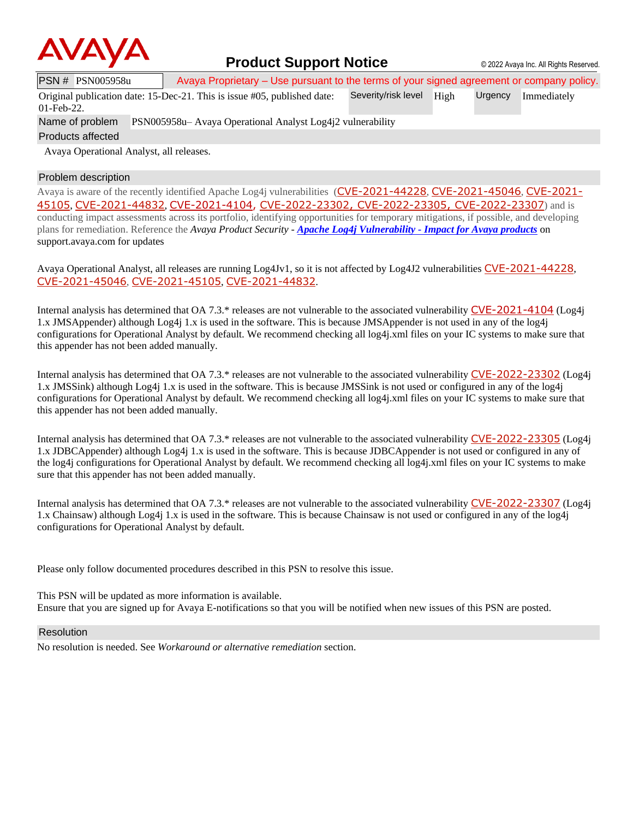

## **Product Support Notice** © 2022 Avaya Inc. All Rights Reserved.

| PSN # PSN005958u | Avaya Proprietary – Use pursuant to the terms of your signed agreement or company policy. |                          |  |                     |
|------------------|-------------------------------------------------------------------------------------------|--------------------------|--|---------------------|
|                  | Original publication date: 15-Dec-21. This is issue #05, published date:                  | Severity/risk level High |  | Urgency Immediately |
| $01$ -Feb-22.    |                                                                                           |                          |  |                     |

Name of problem PSN005958u– Avaya Operational Analyst Log4j2 vulnerability

Products affected

Avaya Operational Analyst, all releases.

## Problem description

Avaya is aware of the recently identified Apache Log4j vulnerabilities ([CVE-2021-44228](https://cve.mitre.org/cgi-bin/cvename.cgi?name=CVE-2021-44228), [CVE-2021-45046](https://cve.mitre.org/cgi-bin/cvename.cgi?name=CVE-2021-45046), [CVE-2021-](https://cve.mitre.org/cgi-bin/cvename.cgi?name=CVE-2021-45105) [45105](https://cve.mitre.org/cgi-bin/cvename.cgi?name=CVE-2021-45105), [CVE-2021-44832](https://cve.mitre.org/cgi-bin/cvename.cgi?name=CVE-2021-44832), [CVE-2021-4104,](https://cve.mitre.org/cgi-bin/cvename.cgi?name=CVE-2021-4104) [CVE-2022-23302](https://www.cvedetails.com/cve/CVE-2022-23302/), [CVE-2022-23305](https://www.cvedetails.com/cve/CVE-2022-23305/), [CVE-2022-23307](https://www.cvedetails.com/cve/CVE-2022-23307/)) and is conducting impact assessments across its portfolio, identifying opportunities for temporary mitigations, if possible, and developing plans for remediation. Reference the *Avaya Product Security - Apache Log4j Vulnerability - [Impact for Avaya products](http://www.avaya.com/emergencyupdate)* on support.avaya.com for updates

Avaya Operational Analyst, all releases are running Log4Jv1, so it is not affected by Log4J2 vulnerabilities [CVE-2021-44228](https://cve.mitre.org/cgi-bin/cvename.cgi?name=CVE-2021-44228), [CVE-2021-45046](https://cve.mitre.org/cgi-bin/cvename.cgi?name=CVE-2021-45046), [CVE-2021-45105](https://cve.mitre.org/cgi-bin/cvename.cgi?name=CVE-2021-45105), [CVE-2021-44832](https://cve.mitre.org/cgi-bin/cvename.cgi?name=CVE-2021-44832).

Internal analysis has determined that OA 7.3.\* releases are not vulnerable to the associated vulnerability [CVE-2021-4104](https://cve.mitre.org/cgi-bin/cvename.cgi?name=CVE-2021-4104) (Log4j 1.x JMSAppender) although Log4j 1.x is used in the software. This is because JMSAppender is not used in any of the log4j configurations for Operational Analyst by default. We recommend checking all log4j.xml files on your IC systems to make sure that this appender has not been added manually.

Internal analysis has determined that OA 7.3.\* releases are not vulnerable to the associated vulnerability [CVE-2022-23302](https://www.cvedetails.com/cve/CVE-2022-23302/) (Log4j 1.x JMSSink) although Log4j 1.x is used in the software. This is because JMSSink is not used or configured in any of the log4j configurations for Operational Analyst by default. We recommend checking all log4j.xml files on your IC systems to make sure that this appender has not been added manually.

Internal analysis has determined that OA 7.3.\* releases are not vulnerable to the associated vulnerability [CVE-2022-23305](https://www.cvedetails.com/cve/CVE-2022-23305/) (Log4j 1.x JDBCAppender) although Log4j 1.x is used in the software. This is because JDBCAppender is not used or configured in any of the log4j configurations for Operational Analyst by default. We recommend checking all log4j.xml files on your IC systems to make sure that this appender has not been added manually.

Internal analysis has determined that OA 7.3.\* releases are not vulnerable to the associated vulnerability [CVE-2022-23307](https://www.cvedetails.com/cve/CVE-2022-23307/) (Log4j 1.x Chainsaw) although Log4j 1.x is used in the software. This is because Chainsaw is not used or configured in any of the log4j configurations for Operational Analyst by default.

Please only follow documented procedures described in this PSN to resolve this issue.

This PSN will be updated as more information is available. Ensure that you are signed up for Avaya E-notifications so that you will be notified when new issues of this PSN are posted.

### Resolution

No resolution is needed. See *Workaround or alternative remediation* section.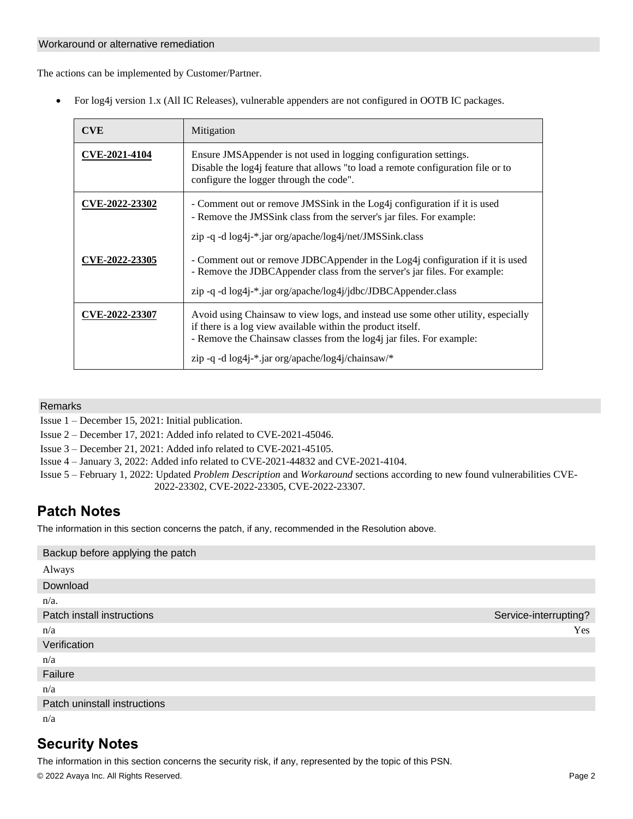### Workaround or alternative remediation

The actions can be implemented by Customer/Partner.

• For log4j version 1.x (All IC Releases), vulnerable appenders are not configured in OOTB IC packages.

| <b>CVE</b>           | Mitigation                                                                                                                                                                                                                                                                                       |
|----------------------|--------------------------------------------------------------------------------------------------------------------------------------------------------------------------------------------------------------------------------------------------------------------------------------------------|
| <b>CVE-2021-4104</b> | Ensure JMSAppender is not used in logging configuration settings.<br>Disable the log4j feature that allows "to load a remote configuration file or to<br>configure the logger through the code".                                                                                                 |
| CVE-2022-23302       | - Comment out or remove JMSSink in the Log4 configuration if it is used<br>- Remove the JMSSink class from the server's jar files. For example:<br>$zip -q -d log4j-*. jar org/apache/log4j/net/JMSSink.class$                                                                                   |
| CVE-2022-23305       | - Comment out or remove JDBCAppender in the Log4j configuration if it is used<br>- Remove the JDBCAppender class from the server's jar files. For example:<br>zip -q -d log4j-*.jar org/apache/log4j/jdbc/JDBCAppender.class                                                                     |
| CVE-2022-23307       | Avoid using Chainsaw to view logs, and instead use some other utility, especially<br>if there is a log view available within the product itself.<br>- Remove the Chainsaw classes from the log4j jar files. For example:<br>zip -q -d $log4i$ <sup>-*</sup> .jar org/apache/ $log4i$ /chainsaw/* |

## Remarks

Issue 1 – December 15, 2021: Initial publication.

Issue 2 – December 17, 2021: Added info related to CVE-2021-45046.

Issue 3 – December 21, 2021: Added info related to CVE-2021-45105.

Issue 4 – January 3, 2022: Added info related t[o CVE-2021-44832](https://cve.mitre.org/cgi-bin/cvename.cgi?name=CVE-2021-44832) and [CVE-2021-4104.](https://cve.mitre.org/cgi-bin/cvename.cgi?name=CVE-2021-4104)

Issue 5 – February 1, 2022: Updated *Problem Description* and *Workaround* sections according to new found vulnerabilities [CVE-](https://www.cvedetails.com/cve/CVE-2022-23302/)[2022-23302,](https://www.cvedetails.com/cve/CVE-2022-23302/) [CVE-2022-23305,](https://www.cvedetails.com/cve/CVE-2022-23305/) [CVE-2022-23307.](https://www.cvedetails.com/cve/CVE-2022-23307/)

# **Patch Notes**

The information in this section concerns the patch, if any, recommended in the Resolution above.

| Backup before applying the patch |                       |
|----------------------------------|-----------------------|
| Always                           |                       |
| Download                         |                       |
| $n/a$ .                          |                       |
| Patch install instructions       | Service-interrupting? |
| n/a                              | Yes                   |
| Verification                     |                       |
| n/a                              |                       |
| Failure                          |                       |
| n/a                              |                       |
| Patch uninstall instructions     |                       |
| n/a                              |                       |

# **Security Notes**

© 2022 Avaya Inc. All Rights Reserved. Page 2 The information in this section concerns the security risk, if any, represented by the topic of this PSN.